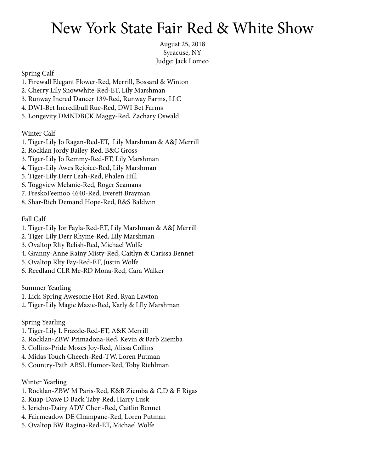## New York State Fair Red & White Show

August 25, 2018 Syracuse, NY Judge: Jack Lomeo

Spring Calf

- 1. Firewall Elegant Flower-Red, Merrill, Bossard & Winton
- 2. Cherry Lily Snowwhite-Red-ET, Lily Marshman
- 3. Runway Incred Dancer 139-Red, Runway Farms, LLC
- 4. DWI-Bet Incredibull Rue-Red, DWI Bet Farms
- 5. Longevity DMNDBCK Maggy-Red, Zachary Oswald

Winter Calf

- 1. Tiger-Lily Jo Ragan-Red-ET, Lily Marshman & A&J Merrill
- 2. Rocklan Jordy Bailey-Red, B&C Gross
- 3. Tiger-Lily Jo Remmy-Red-ET, Lily Marshman
- 4. Tiger-Lily Awes Rejoice-Red, Lily Marshman
- 5. Tiger-Lily Derr Leah-Red, Phalen Hill
- 6. Toggview Melanie-Red, Roger Seamans
- 7. FreskoFeemoo 4640-Red, Everett Brayman
- 8. Shar-Rich Demand Hope-Red, R&S Baldwin

Fall Calf

- 1. Tiger-Lily Jor Fayla-Red-ET, Lily Marshman & A&J Merrill
- 2. Tiger-Lily Derr Rhyme-Red, Lily Marshman
- 3. Ovaltop Rlty Relish-Red, Michael Wolfe
- 4. Granny-Anne Rainy Misty-Red, Caitlyn & Carissa Bennet
- 5. Ovaltop Rlty Fay-Red-ET, Justin Wolfe
- 6. Reedland CLR Me-RD Mona-Red, Cara Walker

Summer Yearling

- 1. Lick-Spring Awesome Hot-Red, Ryan Lawton
- 2. Tiger-Lily Magie Mazie-Red, Karly & LIly Marshman

Spring Yearling

- 1. Tiger-Lily L Frazzle-Red-ET, A&K Merrill
- 2. Rocklan-ZBW Primadona-Red, Kevin & Barb Ziemba
- 3. Collins-Pride Moses Joy-Red, Alissa Collins
- 4. Midas Touch Cheech-Red-TW, Loren Putman
- 5. Country-Path ABSL Humor-Red, Toby Riehlman

Winter Yearling

- 1. Rocklan-ZBW M Paris-Red, K&B Ziemba & C,D & E Rigas
- 2. Kuap-Dawe D Back Taby-Red, Harry Lusk
- 3. Jericho-Dairy ADV Cheri-Red, Caitlin Bennet
- 4. Fairmeadow DE Champane-Red, Loren Putman
- 5. Ovaltop BW Ragina-Red-ET, Michael Wolfe